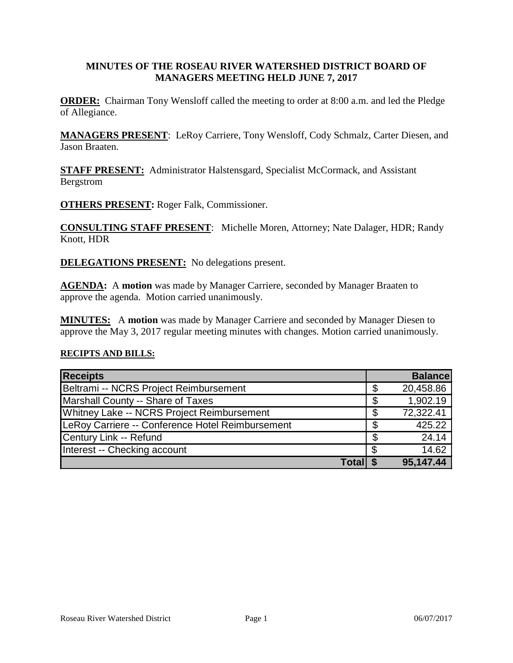## **MINUTES OF THE ROSEAU RIVER WATERSHED DISTRICT BOARD OF MANAGERS MEETING HELD JUNE 7, 2017**

**ORDER:** Chairman Tony Wensloff called the meeting to order at 8:00 a.m. and led the Pledge of Allegiance.

**MANAGERS PRESENT**: LeRoy Carriere, Tony Wensloff, Cody Schmalz, Carter Diesen, and Jason Braaten.

**STAFF PRESENT:** Administrator Halstensgard, Specialist McCormack, and Assistant Bergstrom

**OTHERS PRESENT:** Roger Falk, Commissioner.

**CONSULTING STAFF PRESENT**: Michelle Moren, Attorney; Nate Dalager, HDR; Randy Knott, HDR

**DELEGATIONS PRESENT:** No delegations present.

**AGENDA:** A **motion** was made by Manager Carriere, seconded by Manager Braaten to approve the agenda. Motion carried unanimously.

**MINUTES:** A **motion** was made by Manager Carriere and seconded by Manager Diesen to approve the May 3, 2017 regular meeting minutes with changes. Motion carried unanimously.

#### **RECIPTS AND BILLS:**

| <b>Receipts</b>                                  |    | <b>Balance</b> |
|--------------------------------------------------|----|----------------|
| Beltrami -- NCRS Project Reimbursement           | \$ | 20,458.86      |
| Marshall County -- Share of Taxes                | S  | 1,902.19       |
| Whitney Lake -- NCRS Project Reimbursement       | S  | 72,322.41      |
| LeRoy Carriere -- Conference Hotel Reimbursement |    | 425.22         |
| Century Link -- Refund                           |    | 24.14          |
| Interest -- Checking account                     |    | 14.62          |
| Total                                            |    | 95,147.44      |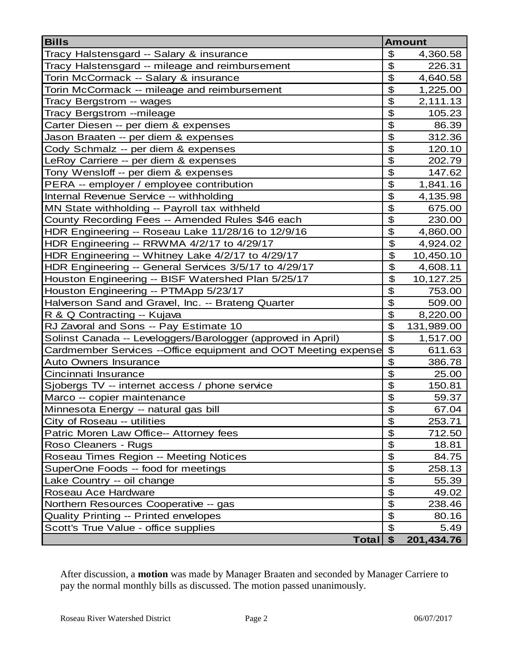| <b>Bills</b>                                                   |                           | <b>Amount</b> |
|----------------------------------------------------------------|---------------------------|---------------|
| Tracy Halstensgard -- Salary & insurance                       | \$                        | 4,360.58      |
| Tracy Halstensgard -- mileage and reimbursement                | \$                        | 226.31        |
| Torin McCormack -- Salary & insurance                          | \$                        | 4,640.58      |
| Torin McCormack -- mileage and reimbursement                   | \$                        | 1,225.00      |
| Tracy Bergstrom -- wages                                       | \$                        | 2,111.13      |
| Tracy Bergstrom --mileage                                      | \$                        | 105.23        |
| Carter Diesen -- per diem & expenses                           | \$                        | 86.39         |
| Jason Braaten -- per diem & expenses                           | \$                        | 312.36        |
| Cody Schmalz -- per diem & expenses                            | $\overline{\mathbf{e}}$   | 120.10        |
| LeRoy Carriere -- per diem & expenses                          | \$                        | 202.79        |
| Tony Wensloff -- per diem & expenses                           | \$                        | 147.62        |
| PERA -- employer / employee contribution                       | \$                        | 1,841.16      |
| Internal Revenue Service -- withholding                        | \$                        | 4,135.98      |
| MN State withholding -- Payroll tax withheld                   | \$                        | 675.00        |
| County Recording Fees -- Amended Rules \$46 each               | \$                        | 230.00        |
| HDR Engineering -- Roseau Lake 11/28/16 to 12/9/16             | \$                        | 4,860.00      |
| HDR Engineering -- RRWMA 4/2/17 to 4/29/17                     | \$                        | 4,924.02      |
| HDR Engineering -- Whitney Lake 4/2/17 to 4/29/17              | \$                        | 10,450.10     |
| HDR Engineering -- General Services 3/5/17 to 4/29/17          | $\boldsymbol{\theta}$     | 4,608.11      |
| Houston Engineering -- BISF Watershed Plan 5/25/17             | \$                        | 10,127.25     |
| Houston Engineering -- PTMApp 5/23/17                          | \$                        | 753.00        |
| Halverson Sand and Gravel, Inc. -- Brateng Quarter             | \$                        | 509.00        |
| R & Q Contracting -- Kujava                                    | \$                        | 8,220.00      |
| RJ Zavoral and Sons -- Pay Estimate 10                         | \$                        | 131,989.00    |
| Solinst Canada -- Leveloggers/Barologger (approved in April)   | \$                        | 1,517.00      |
| Cardmember Services --Office equipment and OOT Meeting expense | $\boldsymbol{\mathsf{S}}$ | 611.63        |
| <b>Auto Owners Insurance</b>                                   | \$                        | 386.78        |
| Cincinnati Insurance                                           | \$                        | 25.00         |
| Sjobergs TV -- internet access / phone service                 | \$                        | 150.81        |
| Marco -- copier maintenance                                    | \$                        | 59.37         |
| Minnesota Energy -- natural gas bill                           | $\overline{\mathbf{e}}$   | 67.04         |
| City of Roseau -- utilities                                    | \$                        | 253.71        |
| Patric Moren Law Office-- Attorney fees                        | $\boldsymbol{\mathsf{S}}$ | 712.50        |
| Roso Cleaners - Rugs                                           | $\boldsymbol{\mathsf{S}}$ | 18.81         |
| Roseau Times Region -- Meeting Notices                         | \$                        | 84.75         |
| SuperOne Foods -- food for meetings                            | \$                        | 258.13        |
| Lake Country -- oil change                                     | $\boldsymbol{\mathsf{S}}$ | 55.39         |
| Roseau Ace Hardware                                            | \$                        | 49.02         |
| Northern Resources Cooperative -- gas                          | \$                        | 238.46        |
| <b>Quality Printing -- Printed envelopes</b>                   | \$                        | 80.16         |
| Scott's True Value - office supplies                           | $\mathfrak{L}$            | 5.49          |
| Total                                                          | \$                        | 201,434.76    |

After discussion, a **motion** was made by Manager Braaten and seconded by Manager Carriere to pay the normal monthly bills as discussed. The motion passed unanimously.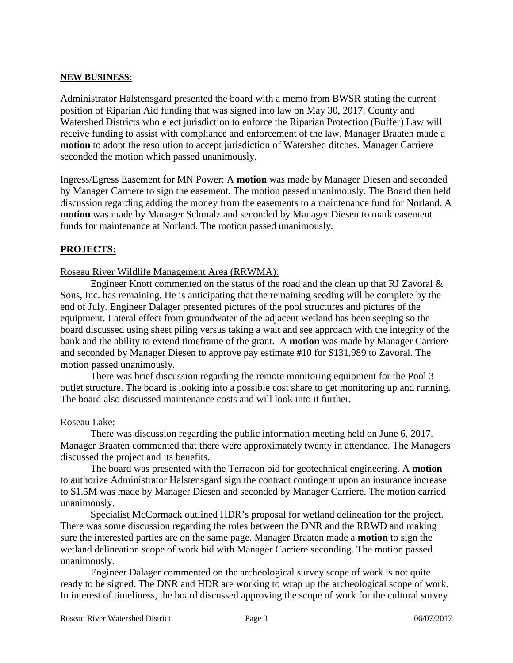#### **NEW BUSINESS:**

Administrator Halstensgard presented the board with a memo from BWSR stating the current position of Riparian Aid funding that was signed into law on May 30, 2017. County and Watershed Districts who elect jurisdiction to enforce the Riparian Protection (Buffer) Law will receive funding to assist with compliance and enforcement of the law. Manager Braaten made a **motion** to adopt the resolution to accept jurisdiction of Watershed ditches. Manager Carriere seconded the motion which passed unanimously.

Ingress/Egress Easement for MN Power: A **motion** was made by Manager Diesen and seconded by Manager Carriere to sign the easement. The motion passed unanimously. The Board then held discussion regarding adding the money from the easements to a maintenance fund for Norland. A **motion** was made by Manager Schmalz and seconded by Manager Diesen to mark easement funds for maintenance at Norland. The motion passed unanimously.

# **PROJECTS:**

#### Roseau River Wildlife Management Area (RRWMA):

Engineer Knott commented on the status of the road and the clean up that RJ Zavoral  $\&$ Sons, Inc. has remaining. He is anticipating that the remaining seeding will be complete by the end of July. Engineer Dalager presented pictures of the pool structures and pictures of the equipment. Lateral effect from groundwater of the adjacent wetland has been seeping so the board discussed using sheet piling versus taking a wait and see approach with the integrity of the bank and the ability to extend timeframe of the grant. A **motion** was made by Manager Carriere and seconded by Manager Diesen to approve pay estimate #10 for \$131,989 to Zavoral. The motion passed unanimously.

There was brief discussion regarding the remote monitoring equipment for the Pool 3 outlet structure. The board is looking into a possible cost share to get monitoring up and running. The board also discussed maintenance costs and will look into it further.

#### Roseau Lake:

There was discussion regarding the public information meeting held on June 6, 2017. Manager Braaten commented that there were approximately twenty in attendance. The Managers discussed the project and its benefits.

The board was presented with the Terracon bid for geotechnical engineering. A **motion** to authorize Administrator Halstensgard sign the contract contingent upon an insurance increase to \$1.5M was made by Manager Diesen and seconded by Manager Carriere. The motion carried unanimously.

Specialist McCormack outlined HDR's proposal for wetland delineation for the project. There was some discussion regarding the roles between the DNR and the RRWD and making sure the interested parties are on the same page. Manager Braaten made a **motion** to sign the wetland delineation scope of work bid with Manager Carriere seconding. The motion passed unanimously.

Engineer Dalager commented on the archeological survey scope of work is not quite ready to be signed. The DNR and HDR are working to wrap up the archeological scope of work. In interest of timeliness, the board discussed approving the scope of work for the cultural survey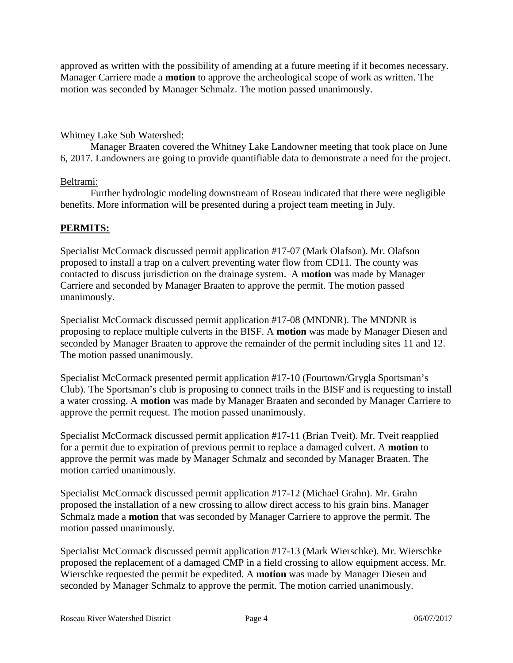approved as written with the possibility of amending at a future meeting if it becomes necessary. Manager Carriere made a **motion** to approve the archeological scope of work as written. The motion was seconded by Manager Schmalz. The motion passed unanimously.

## Whitney Lake Sub Watershed:

Manager Braaten covered the Whitney Lake Landowner meeting that took place on June 6, 2017. Landowners are going to provide quantifiable data to demonstrate a need for the project.

### Beltrami:

Further hydrologic modeling downstream of Roseau indicated that there were negligible benefits. More information will be presented during a project team meeting in July.

# **PERMITS:**

Specialist McCormack discussed permit application #17-07 (Mark Olafson). Mr. Olafson proposed to install a trap on a culvert preventing water flow from CD11. The county was contacted to discuss jurisdiction on the drainage system. A **motion** was made by Manager Carriere and seconded by Manager Braaten to approve the permit. The motion passed unanimously.

Specialist McCormack discussed permit application #17-08 (MNDNR). The MNDNR is proposing to replace multiple culverts in the BISF. A **motion** was made by Manager Diesen and seconded by Manager Braaten to approve the remainder of the permit including sites 11 and 12. The motion passed unanimously.

Specialist McCormack presented permit application #17-10 (Fourtown/Grygla Sportsman's Club). The Sportsman's club is proposing to connect trails in the BISF and is requesting to install a water crossing. A **motion** was made by Manager Braaten and seconded by Manager Carriere to approve the permit request. The motion passed unanimously.

Specialist McCormack discussed permit application #17-11 (Brian Tveit). Mr. Tveit reapplied for a permit due to expiration of previous permit to replace a damaged culvert. A **motion** to approve the permit was made by Manager Schmalz and seconded by Manager Braaten. The motion carried unanimously.

Specialist McCormack discussed permit application #17-12 (Michael Grahn). Mr. Grahn proposed the installation of a new crossing to allow direct access to his grain bins. Manager Schmalz made a **motion** that was seconded by Manager Carriere to approve the permit. The motion passed unanimously.

Specialist McCormack discussed permit application #17-13 (Mark Wierschke). Mr. Wierschke proposed the replacement of a damaged CMP in a field crossing to allow equipment access. Mr. Wierschke requested the permit be expedited. A **motion** was made by Manager Diesen and seconded by Manager Schmalz to approve the permit. The motion carried unanimously.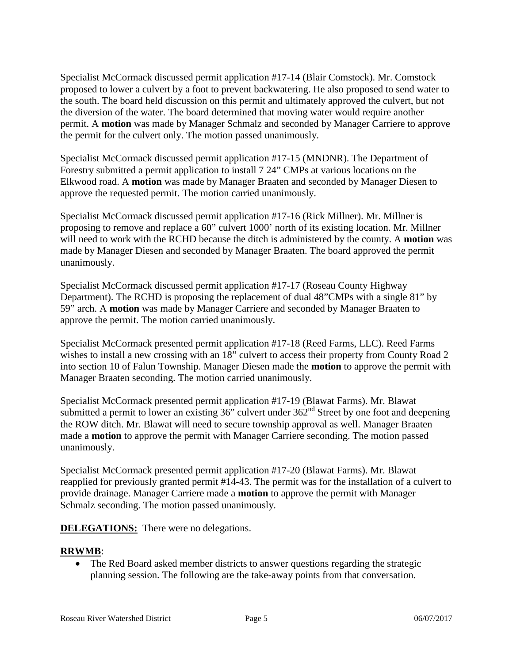Specialist McCormack discussed permit application #17-14 (Blair Comstock). Mr. Comstock proposed to lower a culvert by a foot to prevent backwatering. He also proposed to send water to the south. The board held discussion on this permit and ultimately approved the culvert, but not the diversion of the water. The board determined that moving water would require another permit. A **motion** was made by Manager Schmalz and seconded by Manager Carriere to approve the permit for the culvert only. The motion passed unanimously.

Specialist McCormack discussed permit application #17-15 (MNDNR). The Department of Forestry submitted a permit application to install 7 24" CMPs at various locations on the Elkwood road. A **motion** was made by Manager Braaten and seconded by Manager Diesen to approve the requested permit. The motion carried unanimously.

Specialist McCormack discussed permit application #17-16 (Rick Millner). Mr. Millner is proposing to remove and replace a 60" culvert 1000' north of its existing location. Mr. Millner will need to work with the RCHD because the ditch is administered by the county. A **motion** was made by Manager Diesen and seconded by Manager Braaten. The board approved the permit unanimously.

Specialist McCormack discussed permit application #17-17 (Roseau County Highway Department). The RCHD is proposing the replacement of dual 48"CMPs with a single 81" by 59" arch. A **motion** was made by Manager Carriere and seconded by Manager Braaten to approve the permit. The motion carried unanimously.

Specialist McCormack presented permit application #17-18 (Reed Farms, LLC). Reed Farms wishes to install a new crossing with an 18" culvert to access their property from County Road 2 into section 10 of Falun Township. Manager Diesen made the **motion** to approve the permit with Manager Braaten seconding. The motion carried unanimously.

Specialist McCormack presented permit application #17-19 (Blawat Farms). Mr. Blawat submitted a permit to lower an existing  $36$ " culvert under  $362<sup>nd</sup>$  Street by one foot and deepening the ROW ditch. Mr. Blawat will need to secure township approval as well. Manager Braaten made a **motion** to approve the permit with Manager Carriere seconding. The motion passed unanimously.

Specialist McCormack presented permit application #17-20 (Blawat Farms). Mr. Blawat reapplied for previously granted permit #14-43. The permit was for the installation of a culvert to provide drainage. Manager Carriere made a **motion** to approve the permit with Manager Schmalz seconding. The motion passed unanimously.

**DELEGATIONS:** There were no delegations.

# **RRWMB**:

• The Red Board asked member districts to answer questions regarding the strategic planning session. The following are the take-away points from that conversation.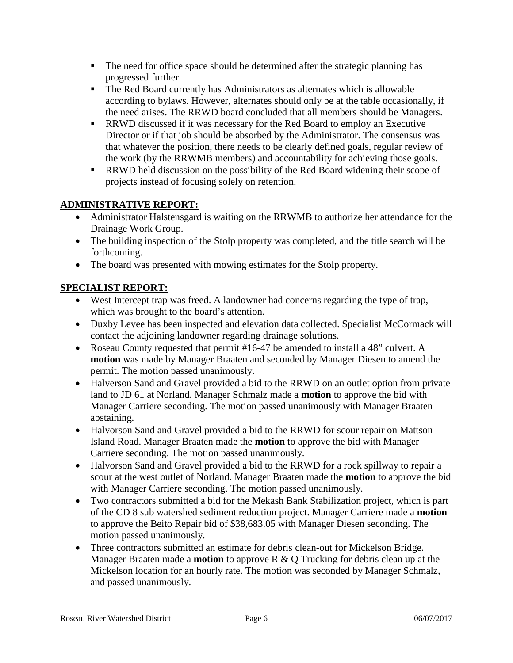- The need for office space should be determined after the strategic planning has progressed further.
- The Red Board currently has Administrators as alternates which is allowable according to bylaws. However, alternates should only be at the table occasionally, if the need arises. The RRWD board concluded that all members should be Managers.
- RRWD discussed if it was necessary for the Red Board to employ an Executive Director or if that job should be absorbed by the Administrator. The consensus was that whatever the position, there needs to be clearly defined goals, regular review of the work (by the RRWMB members) and accountability for achieving those goals.
- **RRWD** held discussion on the possibility of the Red Board widening their scope of projects instead of focusing solely on retention.

# **ADMINISTRATIVE REPORT:**

- Administrator Halstensgard is waiting on the RRWMB to authorize her attendance for the Drainage Work Group.
- The building inspection of the Stolp property was completed, and the title search will be forthcoming.
- The board was presented with mowing estimates for the Stolp property.

# **SPECIALIST REPORT:**

- West Intercept trap was freed. A landowner had concerns regarding the type of trap, which was brought to the board's attention.
- Duxby Levee has been inspected and elevation data collected. Specialist McCormack will contact the adjoining landowner regarding drainage solutions.
- Roseau County requested that permit #16-47 be amended to install a 48" culvert. A **motion** was made by Manager Braaten and seconded by Manager Diesen to amend the permit. The motion passed unanimously.
- Halverson Sand and Gravel provided a bid to the RRWD on an outlet option from private land to JD 61 at Norland. Manager Schmalz made a **motion** to approve the bid with Manager Carriere seconding. The motion passed unanimously with Manager Braaten abstaining.
- Halvorson Sand and Gravel provided a bid to the RRWD for scour repair on Mattson Island Road. Manager Braaten made the **motion** to approve the bid with Manager Carriere seconding. The motion passed unanimously.
- Halvorson Sand and Gravel provided a bid to the RRWD for a rock spillway to repair a scour at the west outlet of Norland. Manager Braaten made the **motion** to approve the bid with Manager Carriere seconding. The motion passed unanimously.
- Two contractors submitted a bid for the Mekash Bank Stabilization project, which is part of the CD 8 sub watershed sediment reduction project. Manager Carriere made a **motion** to approve the Beito Repair bid of \$38,683.05 with Manager Diesen seconding. The motion passed unanimously.
- Three contractors submitted an estimate for debris clean-out for Mickelson Bridge. Manager Braaten made a **motion** to approve R & Q Trucking for debris clean up at the Mickelson location for an hourly rate. The motion was seconded by Manager Schmalz, and passed unanimously.